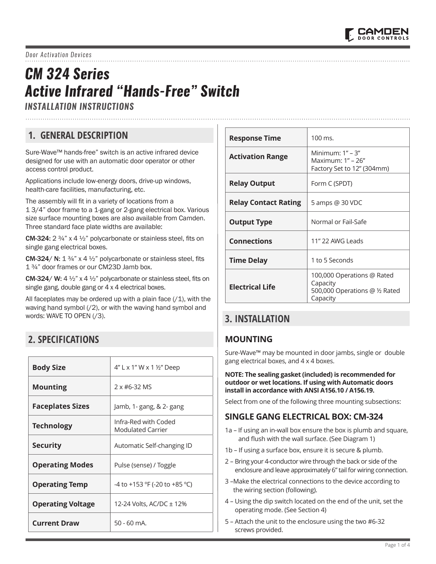# *CM 324 Series Active Infrared "Hands-Free" Switch*

*INSTALLATION INSTRUCTIONS* 

# **1. GENERAL DESCRIPTION**

Sure-Wave™ hands-free" switch is an active infrared device designed for use with an automatic door operator or other access control product.

Applications include low-energy doors, drive-up windows, health-care facilities, manufacturing, etc.

The assembly will fit in a variety of locations from a 1 3/4" door frame to a 1-gang or 2-gang electrical box. Various size surface mounting boxes are also available from Camden. Three standard face plate widths are available:

**CM-324:**  $2\frac{3}{4}$ " x  $4\frac{1}{2}$ " polycarbonate or stainless steel, fits on single gang electrical boxes.

**CM-324/ N:**  $1\frac{3}{4}$ " x  $4\frac{1}{2}$ " polycarbonate or stainless steel, fits 1 ¾" door frames or our CM23D Jamb box.

CM-324/ W: 4 ½" x 4 ½" polycarbonate or stainless steel, fits on single gang, double gang or 4 x 4 electrical boxes.

All faceplates may be ordered up with a plain face  $(1)$ , with the waving hand symbol (/2), or with the waving hand symbol and words: WAVE TO OPEN (/3).

# **2. SPECIFICATIONS**

| <b>Body Size</b>         | 4" L x 1" W x 1 1/2" Deep                        |
|--------------------------|--------------------------------------------------|
| <b>Mounting</b>          | $2x$ #6-32 MS                                    |
| <b>Faceplates Sizes</b>  | Jamb, 1- gang, & 2- gang                         |
| <b>Technology</b>        | Infra-Red with Coded<br><b>Modulated Carrier</b> |
| <b>Security</b>          | Automatic Self-changing ID                       |
| <b>Operating Modes</b>   | Pulse (sense) / Toggle                           |
| <b>Operating Temp</b>    | -4 to +153 °F (-20 to +85 °C)                    |
| <b>Operating Voltage</b> | 12-24 Volts, AC/DC ± 12%                         |
| <b>Current Draw</b>      | $50 - 60$ mA.                                    |

| <b>Response Time</b>        | 100 ms.                                                                              |
|-----------------------------|--------------------------------------------------------------------------------------|
| <b>Activation Range</b>     | Minimum: $1" - 3"$<br>Maximum: $1" - 26"$<br>Factory Set to 12" (304mm)              |
| <b>Relay Output</b>         | Form C (SPDT)                                                                        |
| <b>Relay Contact Rating</b> | 5 amps @ 30 VDC                                                                      |
| <b>Output Type</b>          | Normal or Fail-Safe                                                                  |
| <b>Connections</b>          | 11" 22 AWG Leads                                                                     |
| <b>Time Delay</b>           | 1 to 5 Seconds                                                                       |
| <b>Electrical Life</b>      | 100,000 Operations @ Rated<br>Capacity<br>500,000 Operations @ 1/2 Rated<br>Capacity |

# **3. INSTALLATION**

#### **MOUNTING**

Sure-Wave™ may be mounted in door jambs, single or double gang electrical boxes, and 4 x 4 boxes.

**NOTE: The sealing gasket (included) is recommended for outdoor or wet locations. If using with Automatic doors install in accordance with ANSI A156.10 / A156.19.** 

Select from one of the following three mounting subsections:

#### **SINGLE GANG ELECTRICAL BOX: CM-324**

- 1a If using an in-wall box ensure the box is plumb and square, and flush with the wall surface. (See Diagram 1)
- 1b If using a surface box, ensure it is secure & plumb.
- 2 Bring your 4-conductor wire through the back or side of the enclosure and leave approximately 6" tail for wiring connection.
- 3 –Make the electrical connections to the device according to the wiring section (following).
- 4 Using the dip switch located on the end of the unit, set the operating mode. (See Section 4)
- 5 Attach the unit to the enclosure using the two #6-32 screws provided.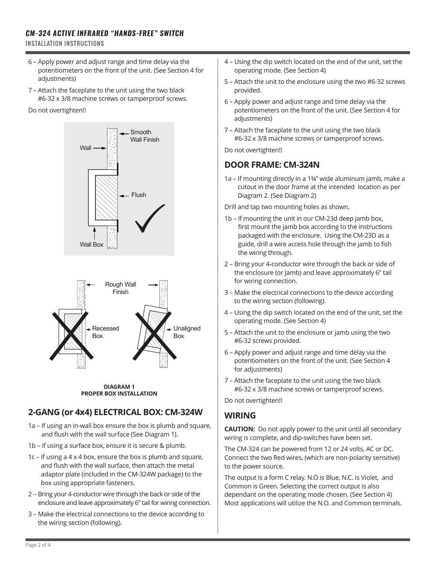#### *CM-324 ACTIVE INFRARED "HANDS-FREE" SWITCH*

INSTALLATION INSTRUCTIONS

- 6 Apply power and adjust range and time delay via the potentiometers on the front of the unit. (See Section 4 for adjustments)
- 7 Attach the faceplate to the unit using the two black #6-32 x 3/8 machine screws or tamperproof screws.

#### Do not overtighten!!



**DIAGRAM 1 PROPER BOX INSTALLATION**

## **2-GANG (or 4x4) ELECTRICAL BOX: CM-324W**

- 1a If using an in-wall box ensure the box is plumb and square, and flush with the wall surface (See Diagram 1).
- 1b If using a surface box, ensure it is secure & plumb.
- 1c If using a 4 x 4 box, ensure the box is plumb and square, and flush with the wall surface, then attach the metal adaptor plate (included in the CM-324W package) to the box using appropriate fasteners.
- 2 Bring your 4-conductor wire through the back or side of the enclosure and leave approximately 6" tail for wiring connection.
- 3 Make the electrical connections to the device according to the wiring section (following).
- 4 Using the dip switch located on the end of the unit, set the operating mode. (See Section 4)
- 5 Attach the unit to the enclosure using the two #6-32 screws provided.
- 6 Apply power and adjust range and time delay via the potentiometers on the front of the unit. (See Section 4 for adjustments)
- 7 Attach the faceplate to the unit using the two black #6-32 x 3/8 machine screws or tamperproof screws.

Do not overtighten!!

#### **DOOR FRAME: CM-324N**

1a – If mounting directly in a 1¾" wide aluminum jamb, make a cutout in the door frame at the intended location as per Diagram 2. (See Diagram 2)

Drill and tap two mounting holes as shown.

- 1b If mounting the unit in our CM-23d deep jamb box, first mount the jamb box according to the instructions packaged with the enclosure. Using the CM-23D as a guide, drill a wire access hole through the jamb to fish the wiring through.
- 2 Bring your 4-conductor wire through the back or side of the enclosure (or Jamb) and leave approximately 6" tail for wiring connection.
- 3 Make the electrical connections to the device according to the wiring section (following).
- 4 Using the dip switch located on the end of the unit, set the operating mode. (See Section 4)
- 5 Attach the unit to the enclosure or jamb using the two #6-32 screws provided.
- 6 Apply power and adjust range and time delay via the potentiometers on the front of the unit. (See Section 4 for adjustments)
- 7 Attach the faceplate to the unit using the two black #6-32 x 3/8 machine screws or tamperproof screws.

Do not overtighten!!

#### **WIRING**

**CAUTION:** Do not apply power to the unit until all secondary wiring is complete, and dip-switches have been set.

The CM-324 can be powered from 12 or 24 volts, AC or DC. Connect the two Red wires, (which are non-polarity sensitive) to the power source.

The output is a form C relay. N.O is Blue, N.C. is Violet, and Common is Green. Selecting the correct output is also dependant on the operating mode chosen. (See Section 4) Most applications will utilize the N.O. and Common terminals.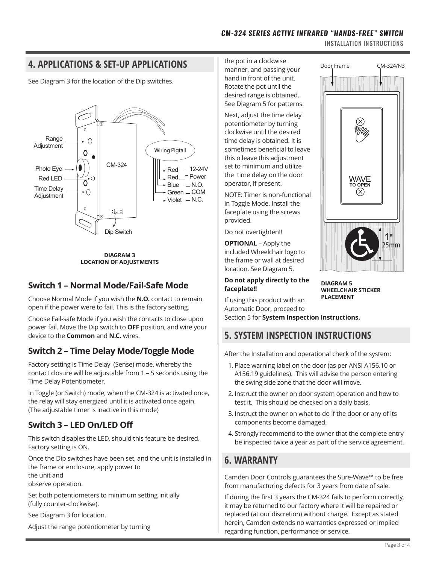INSTALLATION INSTRUCTIONS

Door Frame CM-324/N3

**WAVE**<br>TO OPEN

 $\circledR$ 

# **4. APPLICATIONS & SET-UP APPLICATIONS**

See Diagram 3 for the location of the Dip switches.



**DIAGRAM 3 LOCATION OF ADJUSTMENTS**

## **Switch 1 – Normal Mode/Fail-Safe Mode**

Choose Normal Mode if you wish the **N.O.** contact to remain open if the power were to fail. This is the factory setting.

Choose Fail-safe Mode if you wish the contacts to close upon power fail. Move the Dip switch to **OFF** position, and wire your device to the **Common** and **N.C.** wires.

# **Switch 2 – Time Delay Mode/Toggle Mode**

Factory setting is Time Delay (Sense) mode, whereby the contact closure will be adjustable from 1 – 5 seconds using the Time Delay Potentiometer.

In Toggle (or Switch) mode, when the CM-324 is activated once, the relay will stay energized until it is activated once again. (The adjustable timer is inactive in this mode)

## **Switch 3 – LED On/LED Off**

This switch disables the LED, should this feature be desired. Factory setting is ON.

Once the Dip switches have been set, and the unit is installed in the frame or enclosure, apply power to the unit and

observe operation.

Set both potentiometers to minimum setting initially (fully counter-clockwise).

See Diagram 3 for location.

Adjust the range potentiometer by turning

the pot in a clockwise manner, and passing your hand in front of the unit. Rotate the pot until the desired range is obtained. See Diagram 5 for patterns.

Next, adjust the time delay potentiometer by turning clockwise until the desired time delay is obtained. It is sometimes beneficial to leave this o leave this adjustment set to minimum and utilize the time delay on the door operator, if present.

NOTE: Timer is non-functional in Toggle Mode. Install the faceplate using the screws provided.

Do not overtighten!!

**OPTIONAL** – Apply the included Wheelchair logo to the frame or wall at desired location. See Diagram 5.

#### **Do not apply directly to the faceplate!!**



25mm 1"

If using this product with an Automatic Door, proceed to

Section 5 for **System Inspection Instructions.**

# **5. SYSTEM INSPECTION INSTRUCTIONS**

After the Installation and operational check of the system:

- 1. Place warning label on the door (as per ANSI A156.10 or A156.19 guidelines). This will advise the person entering the swing side zone that the door will move.
- 2. Instruct the owner on door system operation and how to test it. This should be checked on a daily basis.
- 3. Instruct the owner on what to do if the door or any of its components become damaged.
- 4. Strongly recommend to the owner that the complete entry be inspected twice a year as part of the service agreement.

# **6. WARRANTY**

Camden Door Controls guarantees the Sure-Wave™ to be free from manufacturing defects for 3 years from date of sale.

If during the first 3 years the CM-324 fails to perform correctly, it may be returned to our factory where it will be repaired or replaced (at our discretion) without charge. Except as stated herein, Camden extends no warranties expressed or implied regarding function, performance or service.